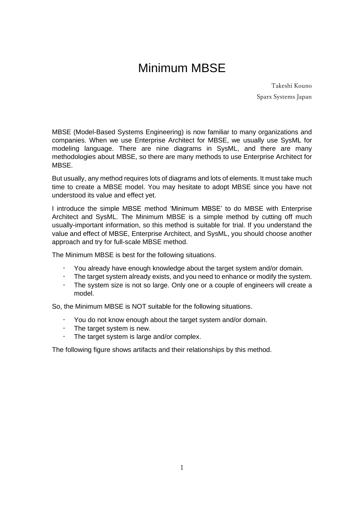# Minimum MBSE

Takeshi Kouno Sparx Systems Japan

MBSE (Model-Based Systems Engineering) is now familiar to many organizations and companies. When we use Enterprise Architect for MBSE, we usually use SysML for modeling language. There are nine diagrams in SysML, and there are many methodologies about MBSE, so there are many methods to use Enterprise Architect for **MBSE** 

But usually, any method requires lots of diagrams and lots of elements. It must take much time to create a MBSE model. You may hesitate to adopt MBSE since you have not understood its value and effect yet.

I introduce the simple MBSE method 'Minimum MBSE' to do MBSE with Enterprise Architect and SysML. The Minimum MBSE is a simple method by cutting off much usually-important information, so this method is suitable for trial. If you understand the value and effect of MBSE, Enterprise Architect, and SysML, you should choose another approach and try for full-scale MBSE method.

The Minimum MBSE is best for the following situations.

- You already have enough knowledge about the target system and/or domain.
- The target system already exists, and you need to enhance or modify the system.
- The system size is not so large. Only one or a couple of engineers will create a model.

So, the Minimum MBSE is NOT suitable for the following situations.

- You do not know enough about the target system and/or domain.
- The target system is new.
- The target system is large and/or complex.

The following figure shows artifacts and their relationships by this method.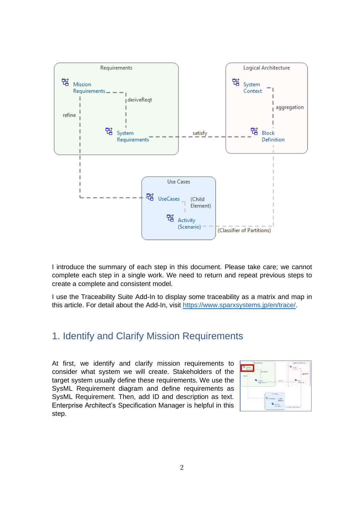

I introduce the summary of each step in this document. Please take care; we cannot complete each step in a single work. We need to return and repeat previous steps to create a complete and consistent model.

I use the Traceability Suite Add-In to display some traceability as a matrix and map in this article. For detail about the Add-In, visit [https://www.sparxsystems.jp/en/trace/.](https://www.sparxsystems.jp/en/trace/)

#### 1. Identify and Clarify Mission Requirements

At first, we identify and clarify mission requirements to consider what system we will create. Stakeholders of the target system usually define these requirements. We use the SysML Requirement diagram and define requirements as SysML Requirement. Then, add ID and description as text. Enterprise Architect's Specification Manager is helpful in this step.

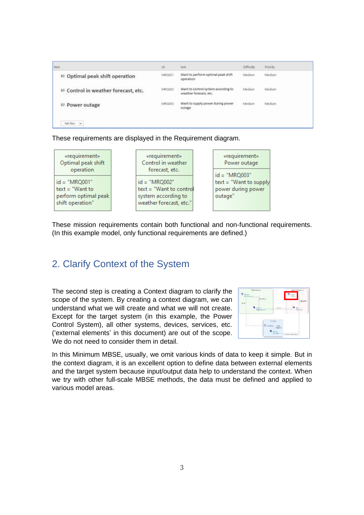| <b>Bem</b>                                 | 4d     | best                                                                | <b>Difficulty</b> | Priority |
|--------------------------------------------|--------|---------------------------------------------------------------------|-------------------|----------|
| <sup>12</sup> Optimal peak shift operation | MR0201 | Want to perform optimal peak shift<br>operation<br>Material Process | Medium            | Medium-  |
| ■ Control in weather forecast, etc.        | MRG002 | Want to control system according to<br>weather forecast, etc.       | Medium            | Medium   |
| □ Power outage                             | MRQ003 | Want to supply power during power<br>outage                         | Medium            | Medium   |

These requirements are displayed in the Requirement diagram.



These mission requirements contain both functional and non-functional requirements. (In this example model, only functional requirements are defined.)

## 2. Clarify Context of the System

The second step is creating a Context diagram to clarify the scope of the system. By creating a context diagram, we can understand what we will create and what we will not create. Except for the target system (in this example, the Power Control System), all other systems, devices, services, etc. ('external elements' in this document) are out of the scope. We do not need to consider them in detail.



In this Minimum MBSE, usually, we omit various kinds of data to keep it simple. But in the context diagram, it is an excellent option to define data between external elements and the target system because input/output data help to understand the context. When we try with other full-scale MBSE methods, the data must be defined and applied to various model areas.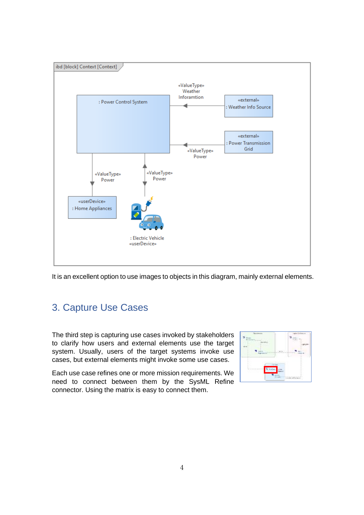

It is an excellent option to use images to objects in this diagram, mainly external elements.

# 3. Capture Use Cases

The third step is capturing use cases invoked by stakeholders to clarify how users and external elements use the target system. Usually, users of the target systems invoke use cases, but external elements might invoke some use cases.

Each use case refines one or more mission requirements. We need to connect between them by the SysML Refine connector. Using the matrix is easy to connect them.

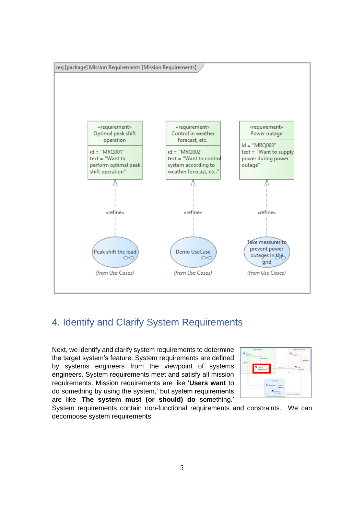

### 4. Identify and Clarify System Requirements

Next, we identify and clarify system requirements to determine the target system's feature. System requirements are defined by systems engineers from the viewpoint of systems engineers. System requirements meet and satisfy all mission requirements. Mission requirements are like '**Users want** to do something by using the system,' but system requirements are like '**The system must (or should) do** something.'



System requirements contain non-functional requirements and constraints. We can decompose system requirements.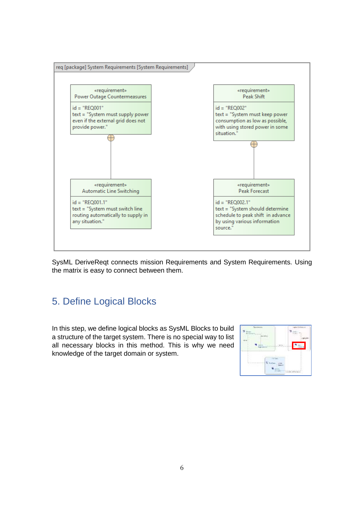

SysML DeriveReqt connects mission Requirements and System Requirements. Using the matrix is easy to connect between them.

### 5. Define Logical Blocks

In this step, we define logical blocks as SysML Blocks to build a structure of the target system. There is no special way to list all necessary blocks in this method. This is why we need knowledge of the target domain or system.

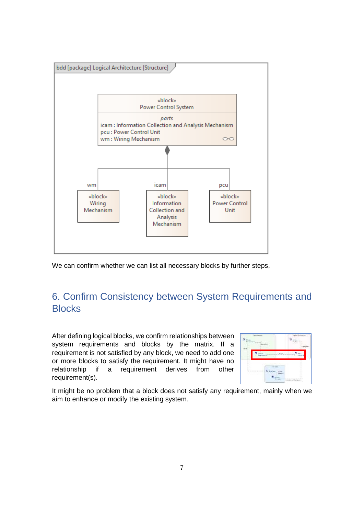

We can confirm whether we can list all necessary blocks by further steps,

## 6. Confirm Consistency between System Requirements and **Blocks**

After defining logical blocks, we confirm relationships between system requirements and blocks by the matrix. If a requirement is not satisfied by any block, we need to add one or more blocks to satisfy the requirement. It might have no relationship if a requirement derives from other requirement(s).

|        | $\sim$                                                                    | ---                              |
|--------|---------------------------------------------------------------------------|----------------------------------|
|        | $-100 - 100 = 100$<br>1. Complements<br>the contract of the profit common |                                  |
| ÷<br>٠ | .<br>m<br>to an an an an ann an a<br>×                                    | --<br>a s<br>of a of the special |

It might be no problem that a block does not satisfy any requirement, mainly when we aim to enhance or modify the existing system.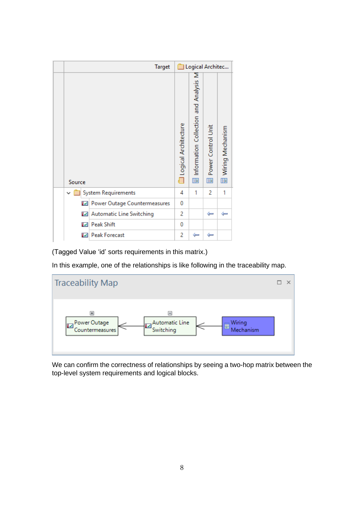|              | <b>Target</b>                |                      | Logical Architec                                |                           |                          |
|--------------|------------------------------|----------------------|-------------------------------------------------|---------------------------|--------------------------|
| Source       |                              | Logical Architecture | Σ<br>Information Collection and Analysis<br>III | Power Control Unit<br>III | Wiring Mechanism<br>Iiii |
| $\checkmark$ | <b>System Requirements</b>   | 4                    | 1                                               | 2                         | 1                        |
| M            | Power Outage Countermeasures | 0                    |                                                 |                           |                          |
| M            | Automatic Line Switching     | 2                    |                                                 | ←                         | ←                        |
| ıи           | <b>Peak Shift</b>            | 0                    |                                                 |                           |                          |
| w            | <b>Peak Forecast</b>         | 2                    | ←                                               | ⊫                         |                          |

(Tagged Value 'id' sorts requirements in this matrix.)

In this example, one of the relationships is like following in the traceability map.



We can confirm the correctness of relationships by seeing a two-hop matrix between the top-level system requirements and logical blocks.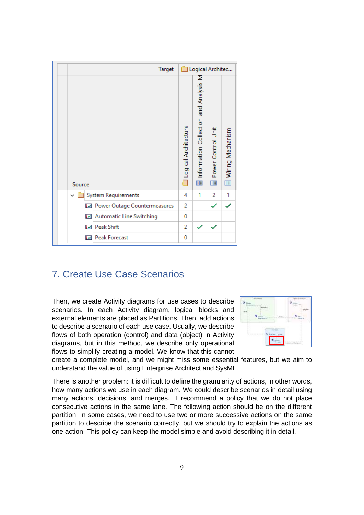|                                            | <b>Target</b> | Logical Architec               |                                              |                            |                         |  |  |  |  |  |
|--------------------------------------------|---------------|--------------------------------|----------------------------------------------|----------------------------|-------------------------|--|--|--|--|--|
| Source                                     |               | Logical Architecture<br>$\Box$ | Information Collection and Analysis M<br>III | Power Control Unit<br>Iiii | Wiring Mechanism<br>III |  |  |  |  |  |
| <b>System Requirements</b><br>$\checkmark$ |               | 4                              | 1                                            | 2                          | 1                       |  |  |  |  |  |
| Power Outage Countermeasures<br>M          |               | 2                              |                                              |                            |                         |  |  |  |  |  |
| <b>Automatic Line Switching</b><br>M       |               | 0                              |                                              |                            |                         |  |  |  |  |  |
| <b>Peak Shift</b><br>M                     |               | 2                              | ✓                                            | ✓                          |                         |  |  |  |  |  |
| <b>Peak Forecast</b><br>M                  |               | 0                              |                                              |                            |                         |  |  |  |  |  |

## 7. Create Use Case Scenarios

Then, we create Activity diagrams for use cases to describe scenarios. In each Activity diagram, logical blocks and external elements are placed as Partitions. Then, add actions to describe a scenario of each use case. Usually, we describe flows of both operation (control) and data (object) in Activity diagrams, but in this method, we describe only operational flows to simplify creating a model. We know that this cannot



create a complete model, and we might miss some essential features, but we aim to understand the value of using Enterprise Architect and SysML.

There is another problem: it is difficult to define the granularity of actions, in other words, how many actions we use in each diagram. We could describe scenarios in detail using many actions, decisions, and merges. I recommend a policy that we do not place consecutive actions in the same lane. The following action should be on the different partition. In some cases, we need to use two or more successive actions on the same partition to describe the scenario correctly, but we should try to explain the actions as one action. This policy can keep the model simple and avoid describing it in detail.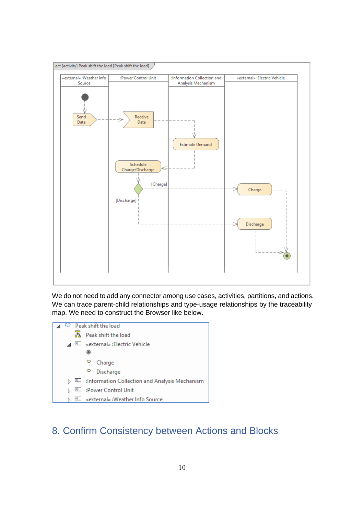

We do not need to add any connector among use cases, activities, partitions, and actions. We can trace parent-child relationships and type-usage relationships by the traceability map. We need to construct the Browser like below.



## 8. Confirm Consistency between Actions and Blocks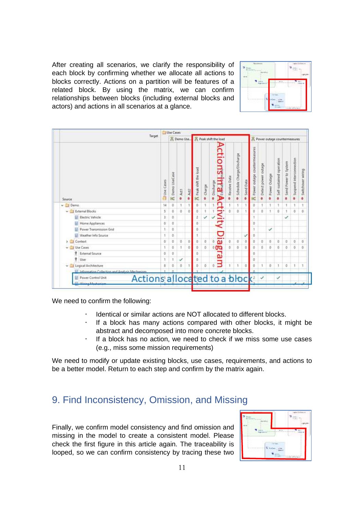After creating all scenarios, we clarify the responsibility of each block by confirming whether we allocate all actions to blocks correctly. Actions on a partition will be features of a related block. By using the matrix, we can confirm relationships between blocks (including external blocks and actors) and actions in all scenarios at a glance.

| tu.<br>--                                                              | - -     |
|------------------------------------------------------------------------|---------|
| $-1$<br>и<br><b>BY RIVER</b><br><b>Service Controllers</b>             | n<br>16 |
| S.<br><b>But a non-particular</b><br>œ<br>to an an an an ann an a<br>× | ١<br>B  |

|                                                                               |           | <b>Use Cases</b>    |                                                |           |                            |          |                                       |              |                                |           |                                |                     |                   |                            |                           |                              |                        |
|-------------------------------------------------------------------------------|-----------|---------------------|------------------------------------------------|-----------|----------------------------|----------|---------------------------------------|--------------|--------------------------------|-----------|--------------------------------|---------------------|-------------------|----------------------------|---------------------------|------------------------------|------------------------|
| Target                                                                        |           |                     | B Peak shift the load<br><sup>2</sup> Demo Use |           |                            |          |                                       |              | A Power outage countermeasures |           |                                |                     |                   |                            |                           |                              |                        |
| Source                                                                        | Use Cases | Demo UseCase<br>IK. | $^{\circ}$ Act 1                               | Act2<br>ö | Peak shift the load<br>IE. | · charge | <b>Actions</b><br>Arem<br>· Discharge | Peceive Data | Schedule Charge/Discharge<br>ò | Send Data | R Power outage countermeasures | Detect power outage | Power Outage<br>ö | · Self-sustained operation | Send Power to System<br>ö | Suspend interconnection<br>ŭ | Switchover wiring<br>ö |
| $~\vee$ $~\square$ Demo-                                                      | 14        | ø                   | 1                                              |           | ō                          |          | ctivity                               |              |                                |           | Ü                              |                     |                   |                            |                           |                              |                        |
| v I External Blocks                                                           | 5         | ö                   | ō                                              | a         | ö.                         |          |                                       | ö            | $\theta$                       |           | $\circ$                        | 0                   | 1                 | ö                          |                           | ō                            | ō                      |
| Electric Vehicle                                                              | k         | ò.                  |                                                |           |                            | ✓        |                                       |              |                                |           |                                |                     |                   |                            | ✓                         |                              |                        |
| Home Appliances                                                               | o         | ŭ                   |                                                |           | ō.                         |          |                                       |              |                                |           | Ŭ                              |                     |                   |                            |                           |                              |                        |
| Power Transmission Grid                                                       | ۹         | ö                   |                                                |           | ö                          |          |                                       |              |                                |           |                                |                     | ✓                 |                            |                           |                              |                        |
| Weather Info Source                                                           |           | ٥                   |                                                |           |                            |          |                                       |              |                                |           | 0                              |                     |                   |                            |                           |                              |                        |
| Cantest                                                                       | ŭ         | ŭ                   | 0                                              | ø         | ō                          | O.       | $\overline{\mathbf{u}}$<br>o          | ö            | <b>O</b>                       | ò         | ø                              | ō                   | ø                 | $\tilde{u}$                | Ø                         | ũ                            | $\ddot{u}$             |
| <b>Cit Use Cases</b>                                                          |           | ó                   | 1                                              | ö         | ö.                         | ö.       |                                       | ò.           | ò.                             | ö         | $\circ$                        | ά                   | ٥                 | ö                          | ō                         | ö                            | ò                      |
| q<br><b>External Source</b>                                                   | ō         | Ŭ.                  |                                                |           | Ŭ.                         |          | gra                                   |              |                                |           | Ö                              |                     |                   |                            |                           |                              |                        |
| q.<br>User                                                                    |           |                     | ✓                                              |           | ō                          |          |                                       |              |                                |           | Ŭ                              |                     |                   |                            |                           |                              |                        |
| Logical Architecture<br>ŵ.                                                    | 3         | õ                   | ö                                              |           | ö.                         | ő.       | Β<br>٥                                |              |                                | ö         | $\circ$                        |                     | ۵                 | Ĭ.                         | o                         | t                            | <sup>1</sup>           |
| Information Collection and Analysis Mechanism                                 |           |                     |                                                |           |                            |          |                                       |              |                                |           |                                |                     |                   |                            |                           |                              |                        |
| Actions allocated to a block?<br>Power Control Unit<br><b>Shirley Markets</b> |           |                     |                                                |           |                            |          |                                       |              |                                |           |                                |                     |                   | ✓                          |                           |                              |                        |
|                                                                               |           |                     |                                                |           |                            |          |                                       |              |                                |           |                                |                     |                   |                            |                           |                              |                        |

We need to confirm the following:

- Identical or similar actions are NOT allocated to different blocks.
- If a block has many actions compared with other blocks, it might be abstract and decomposed into more concrete blocks.
- $\cdot$  If a block has no action, we need to check if we miss some use cases (e.g., miss some mission requirements)

We need to modify or update existing blocks, use cases, requirements, and actions to be a better model. Return to each step and confirm by the matrix again.

#### 9. Find Inconsistency, Omission, and Missing

Finally, we confirm model consistency and find omission and missing in the model to create a consistent model. Please check the first figure in this article again. The traceability is looped, so we can confirm consistency by tracing these two

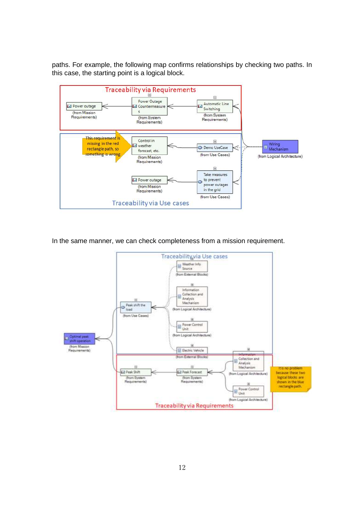paths. For example, the following map confirms relationships by checking two paths. In this case, the starting point is a logical block.



In the same manner, we can check completeness from a mission requirement.

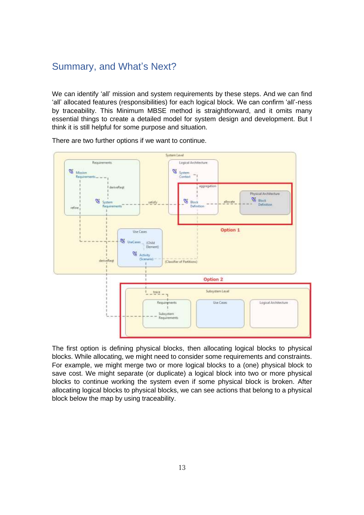## Summary, and What's Next?

We can identify 'all' mission and system requirements by these steps. And we can find 'all' allocated features (responsibilities) for each logical block. We can confirm 'all'-ness by traceability. This Minimum MBSE method is straightforward, and it omits many essential things to create a detailed model for system design and development. But I think it is still helpful for some purpose and situation.



There are two further options if we want to continue.

The first option is defining physical blocks, then allocating logical blocks to physical blocks. While allocating, we might need to consider some requirements and constraints. For example, we might merge two or more logical blocks to a (one) physical block to save cost. We might separate (or duplicate) a logical block into two or more physical blocks to continue working the system even if some physical block is broken. After allocating logical blocks to physical blocks, we can see actions that belong to a physical block below the map by using traceability.